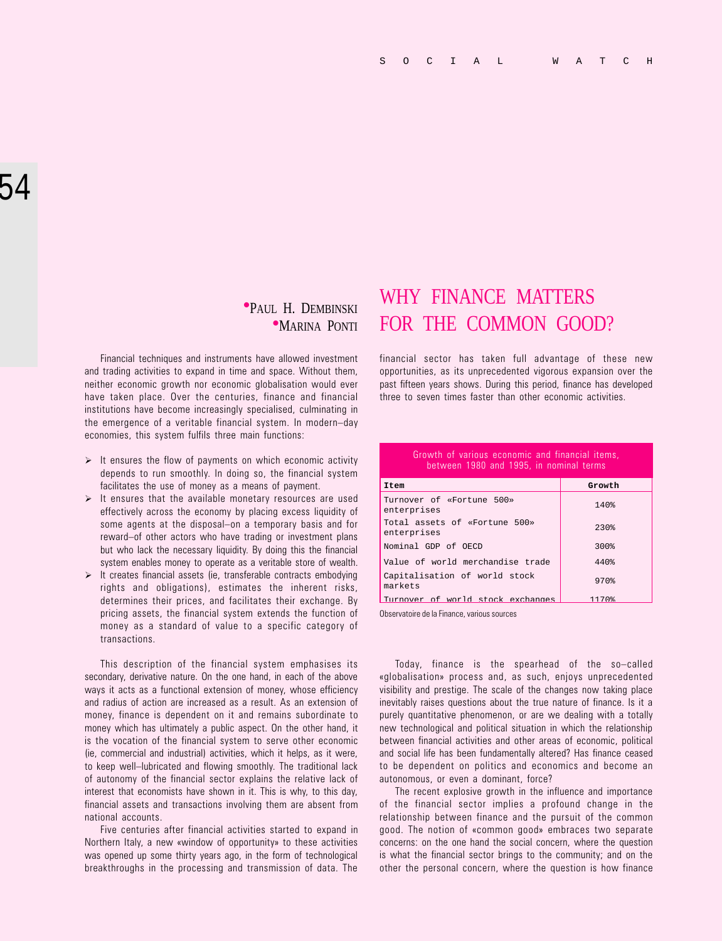# **PAUL H. DEMBINSKI**

Financial techniques and instruments have allowed investment and trading activities to expand in time and space. Without them, neither economic growth nor economic globalisation would ever have taken place. Over the centuries, finance and financial institutions have become increasingly specialised, culminating in the emergence of a veritable financial system. In modern-day economies, this system fulfils three main functions:

- $\triangleright$  It ensures the flow of payments on which economic activity depends to run smoothly. In doing so, the financial system facilitates the use of money as a means of payment.
- $\triangleright$  It ensures that the available monetary resources are used effectively across the economy by placing excess liquidity of some agents at the disposal–on a temporary basis and for reward-of other actors who have trading or investment plans but who lack the necessary liquidity. By doing this the financial system enables money to operate as a veritable store of wealth.
- $\triangleright$  It creates financial assets (ie, transferable contracts embodying rights and obligations), estimates the inherent risks, determines their prices, and facilitates their exchange. By pricing assets, the financial system extends the function of money as a standard of value to a specific category of transactions.

This description of the financial system emphasises its secondary, derivative nature. On the one hand, in each of the above ways it acts as a functional extension of money, whose efficiency and radius of action are increased as a result. As an extension of money, finance is dependent on it and remains subordinate to money which has ultimately a public aspect. On the other hand, it is the vocation of the financial system to serve other economic (ie, commercial and industrial) activities, which it helps, as it were, to keep well-lubricated and flowing smoothly. The traditional lack of autonomy of the financial sector explains the relative lack of interest that economists have shown in it. This is why, to this day, financial assets and transactions involving them are absent from national accounts.

Five centuries after financial activities started to expand in Northern Italy, a new «window of opportunity» to these activities was opened up some thirty years ago, in the form of technological breakthroughs in the processing and transmission of data. The

## WHY FINANCE MATTERS **•MARINA PONTI FOR THE COMMON GOOD?**

financial sector has taken full advantage of these new opportunities, as its unprecedented vigorous expansion over the past fifteen years shows. During this period, finance has developed three to seven times faster than other economic activities.

#### Growth of various economic and financial items, between 1980 and 1995, in nominal terms

| Item                                         | Growth             |
|----------------------------------------------|--------------------|
| Turnover of «Fortune 500»<br>enterprises     | 140%               |
| Total assets of «Fortune 500»<br>enterprises | $230$ <sup>2</sup> |
| Nominal GDP of OECD                          | 300%               |
| Value of world merchandise trade             | 440%               |
| Capitalisation of world stock<br>markets     | 970%               |
| Turnover of world stock exchanges            | 1170%              |

Observatoire de la Finance, various sources

Today, finance is the spearhead of the so-called «globalisation» process and, as such, enjoys unprecedented visibility and prestige. The scale of the changes now taking place inevitably raises questions about the true nature of finance. Is it a purely quantitative phenomenon, or are we dealing with a totally new technological and political situation in which the relationship between financial activities and other areas of economic, political and social life has been fundamentally altered? Has finance ceased to be dependent on politics and economics and become an autonomous, or even a dominant, force?

The recent explosive growth in the influence and importance of the financial sector implies a profound change in the relationship between finance and the pursuit of the common good. The notion of «common good» embraces two separate concerns: on the one hand the social concern, where the question is what the financial sector brings to the community; and on the other the personal concern, where the question is how finance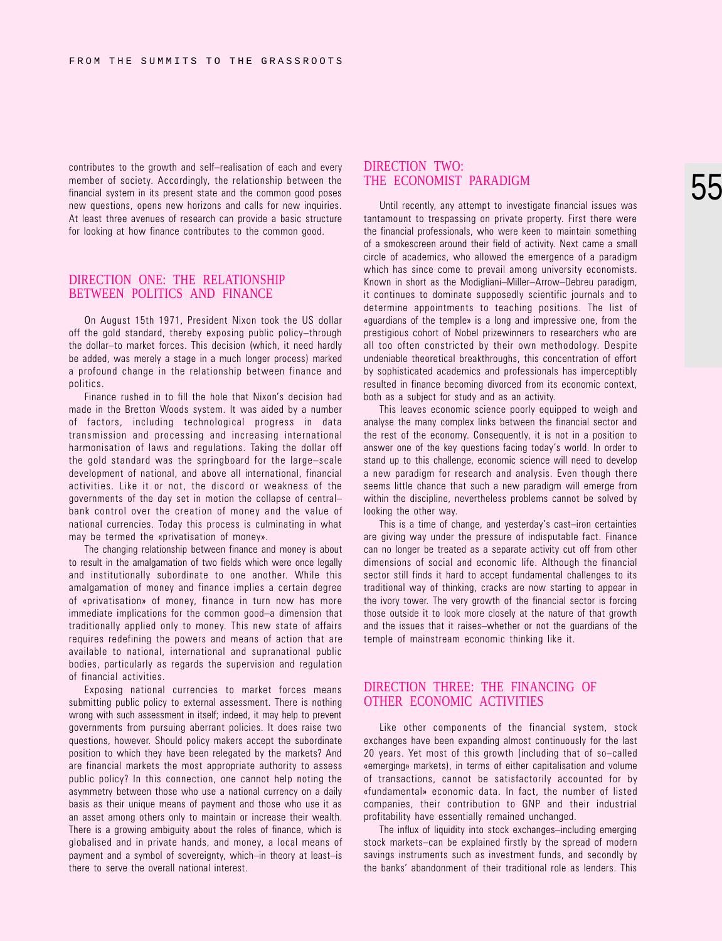contributes to the growth and self-realisation of each and every member of society. Accordingly, the relationship between the financial system in its present state and the common good poses new questions, opens new horizons and calls for new inquiries. At least three avenues of research can provide a basic structure for looking at how finance contributes to the common good.

### DIRECTION ONE: THE RELATIONSHIP BETWEEN POLITICS AND FINANCE

On August 15th 1971, President Nixon took the US dollar off the gold standard, thereby exposing public policy-through the dollar-to market forces. This decision (which, it need hardly be added, was merely a stage in a much longer process) marked a profound change in the relationship between finance and politics.

Finance rushed in to fill the hole that Nixon's decision had made in the Bretton Woods system. It was aided by a number of factors, including technological progress in data transmission and processing and increasing international harmonisation of laws and regulations. Taking the dollar off the gold standard was the springboard for the large-scale development of national, and above all international, financial activities. Like it or not, the discord or weakness of the governments of the day set in motion the collapse of central bank control over the creation of money and the value of national currencies. Today this process is culminating in what may be termed the «privatisation of money».

The changing relationship between finance and money is about to result in the amalgamation of two fields which were once legally and institutionally subordinate to one another. While this amalgamation of money and finance implies a certain degree of «privatisation» of money, finance in turn now has more immediate implications for the common good-a dimension that traditionally applied only to money. This new state of affairs requires redefining the powers and means of action that are available to national, international and supranational public bodies, particularly as regards the supervision and regulation of financial activities.

Exposing national currencies to market forces means submitting public policy to external assessment. There is nothing wrong with such assessment in itself; indeed, it may help to prevent governments from pursuing aberrant policies. It does raise two questions, however. Should policy makers accept the subordinate position to which they have been relegated by the markets? And are financial markets the most appropriate authority to assess public policy? In this connection, one cannot help noting the asymmetry between those who use a national currency on a daily basis as their unique means of payment and those who use it as an asset among others only to maintain or increase their wealth. There is a growing ambiguity about the roles of finance, which is globalised and in private hands, and money, a local means of payment and a symbol of sovereignty, which-in theory at least-is there to serve the overall national interest.

#### DIRECTION TWO: THE ECONOMIST PARADIGM

Until recently, any attempt to investigate financial issues was tantamount to trespassing on private property. First there were the financial professionals, who were keen to maintain something of a smokescreen around their field of activity. Next came a small circle of academics, who allowed the emergence of a paradigm which has since come to prevail among university economists. Known in short as the Modigliani-Miller-Arrow-Debreu paradigm, it continues to dominate supposedly scientific journals and to determine appointments to teaching positions. The list of «guardians of the temple» is a long and impressive one, from the prestigious cohort of Nobel prizewinners to researchers who are all too often constricted by their own methodology. Despite undeniable theoretical breakthroughs, this concentration of effort by sophisticated academics and professionals has imperceptibly resulted in finance becoming divorced from its economic context, both as a subject for study and as an activity.

This leaves economic science poorly equipped to weigh and analyse the many complex links between the financial sector and the rest of the economy. Consequently, it is not in a position to answer one of the key questions facing today's world. In order to stand up to this challenge, economic science will need to develop a new paradigm for research and analysis. Even though there seems little chance that such a new paradigm will emerge from within the discipline, nevertheless problems cannot be solved by looking the other way.

This is a time of change, and yesterday's cast-iron certainties are giving way under the pressure of indisputable fact. Finance can no longer be treated as a separate activity cut off from other dimensions of social and economic life. Although the financial sector still finds it hard to accept fundamental challenges to its traditional way of thinking, cracks are now starting to appear in the ivory tower. The very growth of the financial sector is forcing those outside it to look more closely at the nature of that growth and the issues that it raises-whether or not the guardians of the temple of mainstream economic thinking like it.

#### DIRECTION THREE: THE FINANCING OF OTHER ECONOMIC ACTIVITIES

Like other components of the financial system, stock exchanges have been expanding almost continuously for the last 20 years. Yet most of this growth (including that of so-called «emerging» markets), in terms of either capitalisation and volume of transactions, cannot be satisfactorily accounted for by «fundamental» economic data. In fact, the number of listed companies, their contribution to GNP and their industrial profitability have essentially remained unchanged.

The influx of liquidity into stock exchanges-including emerging stock markets-can be explained firstly by the spread of modern savings instruments such as investment funds, and secondly by the banks' abandonment of their traditional role as lenders. This